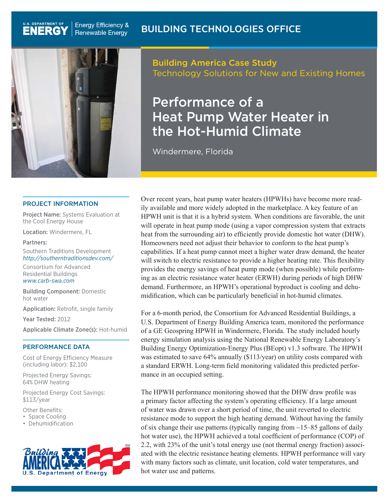

U.S. DEPARTMENT OF

**ENERGY** 

#### PROJECT INFORMATION

Project Name: Systems Evaluation at the Cool Energy House

Location: Windermere, FL

#### Partners:

Southern Traditions Development *http://southerntraditionsdev.com/*

Consortium for Advanced Residential Buildings *www.carb-swa.com*

Building Component: Domestic hot water

Application: Retrofit, single family

Year Tested: 2012

Applicable Climate Zone(s): Hot-humid

#### PERFORMANCE DATA

Cost of Energy Efficiency Measure (including labor): \$2,100

Projected Energy Savings: 64% DHW heating

Projected Energy Cost Savings: \$113/year

Other Benefits:

• Space Cooling

• Dehumidification



Building America Case Study Technology Solutions for New and Existing Homes

# Performance of a Heat Pump Water Heater in the Hot-Humid Climate

Windermere, Florida

Over recent years, heat pump water heaters (HPWHs) have become more readily available and more widely adopted in the marketplace. A key feature of an HPWH unit is that it is a hybrid system. When conditions are favorable, the unit will operate in heat pump mode (using a vapor compression system that extracts heat from the surrounding air) to efficiently provide domestic hot water (DHW). Homeowners need not adjust their behavior to conform to the heat pump's capabilities. If a heat pump cannot meet a higher water draw demand, the heater will switch to electric resistance to provide a higher heating rate. This flexibility provides the energy savings of heat pump mode (when possible) while performing as an electric resistance water heater (ERWH) during periods of high DHW demand. Furthermore, an HPWH's operational byproduct is cooling and dehumidification, which can be particularly beneficial in hot-humid climates.

For a 6-month period, the Consortium for Advanced Residential Buildings, a U.S. Department of Energy Building America team, monitored the performance of a GE Geospring HPWH in Windermere, Florida. The study included hourly energy simulation analysis using the National Renewable Energy Laboratory's Building Energy Optimization-Energy Plus (BEopt) v1.3 software. The HPWH was estimated to save 64% annually (\$113/year) on utility costs compared with a standard ERWH. Long-term field monitoring validated this predicted performance in an occupied setting.

The HPWH performance monitoring showed that the DHW draw profile was a primary factor affecting the system's operating efficiency. If a large amount of water was drawn over a short period of time, the unit reverted to electric resistance mode to support the high heating demand. Without having the family of six change their use patterns (typically ranging from  $\sim$ 15–85 gallons of daily hot water use), the HPWH achieved a total coefficient of performance (COP) of 2.2, with 23% of the unit's total energy use (not thermal energy fraction) associated with the electric resistance heating elements. HPWH performance will vary with many factors such as climate, unit location, cold water temperatures, and hot water use and patterns.